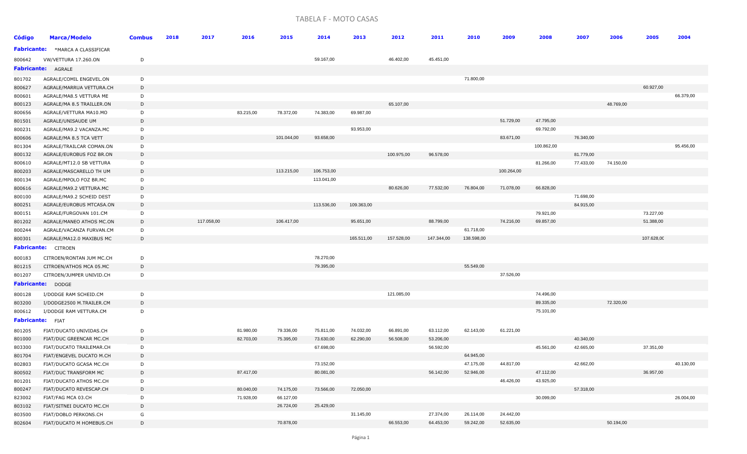## TABELA F - MOTO CASAS

| <b>Código</b>    | <b>Marca/Modelo</b>                            | <b>Combus</b> | 2018 | 2017       | 2016      | 2015       | 2014                   | 2013       | 2012       | 2011                   | 2010       | 2009       | 2008       | 2007                   | 2006      | 2005       | 2004      |
|------------------|------------------------------------------------|---------------|------|------------|-----------|------------|------------------------|------------|------------|------------------------|------------|------------|------------|------------------------|-----------|------------|-----------|
|                  | <b>Fabricante:</b> *MARCA A CLASSIFICAR        |               |      |            |           |            |                        |            |            |                        |            |            |            |                        |           |            |           |
| 800642           | VW/VETTURA 17.260.ON                           | D             |      |            |           |            | 59.167,00              |            | 46.402,00  | 45.451,00              |            |            |            |                        |           |            |           |
|                  | <b>Fabricante: AGRALE</b>                      |               |      |            |           |            |                        |            |            |                        |            |            |            |                        |           |            |           |
| 801702           | AGRALE/COMIL ENGEVEL.ON                        | D             |      |            |           |            |                        |            |            |                        | 71.800,00  |            |            |                        |           |            |           |
| 800627           | AGRALE/MARRUA VETTURA.CH                       | D             |      |            |           |            |                        |            |            |                        |            |            |            |                        |           | 60.927,00  |           |
| 800601           | AGRALE/MA8.5 VETTURA ME                        | D             |      |            |           |            |                        |            |            |                        |            |            |            |                        |           |            | 66.379,00 |
| 800123           | AGRALE/MA 8.5 TRAILLER.ON                      | D             |      |            |           |            |                        |            | 65.107,00  |                        |            |            |            |                        | 48.769,00 |            |           |
| 800656           | AGRALE/VETTURA MA10.MO                         | D             |      |            | 83.215,00 | 78.372,00  | 74.383,00              | 69.987,00  |            |                        |            |            |            |                        |           |            |           |
| 801501           | AGRALE/UNISAUDE UM                             | D             |      |            |           |            |                        |            |            |                        |            | 51.729,00  | 47.795,00  |                        |           |            |           |
| 800231           | AGRALE/MA9.2 VACANZA.MC                        | D             |      |            |           |            |                        | 93.953,00  |            |                        |            |            | 69.792,00  |                        |           |            |           |
| 800606           | AGRALE/MA 8.5 TCA VETT                         | D             |      |            |           | 101.044,00 | 93.658,00              |            |            |                        |            | 83.671,00  |            | 76.340,00              |           |            |           |
| 801304           | AGRALE/TRAILCAR COMAN.ON                       | D             |      |            |           |            |                        |            |            |                        |            |            | 100.862,00 |                        |           |            | 95.456,00 |
| 800132           | AGRALE/EUROBUS FOZ BR.ON                       | D             |      |            |           |            |                        |            | 100.975,00 | 96.578,00              |            |            |            | 81.779,00              |           |            |           |
| 800610           | AGRALE/MT12.0 SB VETTURA                       | D             |      |            |           |            |                        |            |            |                        |            |            | 81.266,00  | 77.433,00              | 74.150,00 |            |           |
| 800203           | AGRALE/MASCARELLO TH UM                        | D             |      |            |           | 113.215,00 | 106.753,00             |            |            |                        |            | 100.264,00 |            |                        |           |            |           |
| 800134           | AGRALE/MPOLO FOZ BR.MC                         | D             |      |            |           |            | 113.041,00             |            |            |                        |            |            |            |                        |           |            |           |
| 800616           | AGRALE/MA9.2 VETTURA.MC                        | D             |      |            |           |            |                        |            | 80.626,00  | 77.532,00              | 76.804,00  | 71.078,00  | 66.828,00  |                        |           |            |           |
| 800100           | AGRALE/MA9.2 SCHEID DEST                       | D             |      |            |           |            |                        |            |            |                        |            |            |            | 71.698,00              |           |            |           |
| 800251           | AGRALE/EUROBUS MTCASA.ON                       | D             |      |            |           |            | 113.536,00             | 109.363,00 |            |                        |            |            |            | 84.915,00              |           |            |           |
| 800151           | AGRALE/FURGOVAN 101.CM                         | D             |      |            |           |            |                        |            |            |                        |            |            | 79.921,00  |                        |           | 73.227,00  |           |
| 801202           | AGRALE/MANEO ATHOS MC.ON                       | D             |      | 117.058,00 |           | 106.417,00 |                        | 95.651,00  |            | 88.799,00              |            | 74.216,00  | 69.857,00  |                        |           | 51.388,00  |           |
| 800244           | AGRALE/VACANZA FURVAN.CM                       | D             |      |            |           |            |                        |            |            |                        | 61.718,00  |            |            |                        |           |            |           |
| 800301           | AGRALE/MA12.0 MAXIBUS MC                       | D             |      |            |           |            |                        | 165.511,00 | 157.528,00 | 147.344,00             | 138.598,00 |            |            |                        |           | 107.628,00 |           |
|                  | <b>Fabricante:</b> CITROEN                     |               |      |            |           |            |                        |            |            |                        |            |            |            |                        |           |            |           |
| 800183           | CITROEN/RONTAN JUM MC.CH                       | D             |      |            |           |            | 78.270,00              |            |            |                        |            |            |            |                        |           |            |           |
| 801215           | CITROEN/ATHOS MCA 05.MC                        | D             |      |            |           |            | 79.395,00              |            |            |                        | 55.549,00  |            |            |                        |           |            |           |
| 801207           | CITROEN/JUMPER UNIVID.CH                       | D             |      |            |           |            |                        |            |            |                        |            | 37.526,00  |            |                        |           |            |           |
|                  | Fabricante: DODGE                              |               |      |            |           |            |                        |            |            |                        |            |            |            |                        |           |            |           |
| 800128           | I/DODGE RAM SCHEID.CM                          | D             |      |            |           |            |                        |            | 121.085,00 |                        |            |            | 74.496,00  |                        |           |            |           |
| 803200           | I/DODGE2500 M.TRAILER.CM                       | D             |      |            |           |            |                        |            |            |                        |            |            | 89.335,00  |                        | 72.320,00 |            |           |
| 800612           | I/DODGE RAM VETTURA.CM                         | D             |      |            |           |            |                        |            |            |                        |            |            | 75.101,00  |                        |           |            |           |
|                  | <b>Fabricante:</b> FIAT                        |               |      |            |           |            |                        |            |            |                        |            |            |            |                        |           |            |           |
|                  |                                                |               |      |            |           |            |                        |            |            |                        |            |            |            |                        |           |            |           |
| 801205           | FIAT/DUCATO UNIVIDAS.CH                        | D             |      |            | 81.980,00 | 79.336,00  | 75.811,00              | 74.032,00  | 66.891,00  | 63.112,00              | 62.143,00  | 61.221,00  |            |                        |           |            |           |
| 801000           | FIAT/DUC GREENCAR MC.CH                        | D             |      |            | 82.703,00 | 75.395,00  | 73.630,00<br>67.698,00 | 62.290,00  | 56.508,00  | 53.206,00<br>56.592,00 |            |            | 45.561,00  | 40.340,00<br>42.665,00 |           | 37.351,00  |           |
| 803300           | FIAT/DUCATO TRAILEMAR.CH                       | D             |      |            |           |            |                        |            |            |                        | 64.945,00  |            |            |                        |           |            |           |
| 801704           | FIAT/ENGEVEL DUCATO M.CH                       | D<br>D        |      |            |           |            | 73.152,00              |            |            |                        | 47.175,00  |            |            |                        |           |            |           |
| 802803           | FIAT/DUCATO GCASA MC.CH                        | D             |      |            | 87.417,00 |            | 80.081,00              |            |            | 56.142,00              | 52.946,00  | 44.817,00  | 47.112,00  | 42.662,00              |           | 36.957,00  | 40.130,00 |
| 800502           | FIAT/DUC TRANSFORM MC                          |               |      |            |           |            |                        |            |            |                        |            | 46.426,00  | 43.925,00  |                        |           |            |           |
| 801201<br>800247 | FIAT/DUCATO ATHOS MC.CH                        | D<br>D        |      |            | 80.040,00 | 74.175,00  | 73.566,00              | 72.050,00  |            |                        |            |            |            | 57.318,00              |           |            |           |
|                  | FIAT/DUCATO REVESCAP.CH                        |               |      |            | 71.928,00 | 66.127,00  |                        |            |            |                        |            |            | 30.099,00  |                        |           |            | 26.004,00 |
| 823002           | FIAT/FAG MCA 03.CH<br>FIAT/SITNEI DUCATO MC.CH | D<br>D        |      |            |           | 26.724,00  | 25.429,00              |            |            |                        |            |            |            |                        |           |            |           |
| 803102<br>803500 | FIAT/DOBLO PERKONS.CH                          | G             |      |            |           |            |                        | 31.145,00  |            | 27.374,00              | 26.114,00  | 24.442,00  |            |                        |           |            |           |
| 802604           | FIAT/DUCATO M HOMEBUS.CH                       | D             |      |            |           | 70.878,00  |                        |            | 66.553,00  | 64.453,00              | 59.242,00  | 52.635,00  |            |                        | 50.194,00 |            |           |
|                  |                                                |               |      |            |           |            |                        |            |            |                        |            |            |            |                        |           |            |           |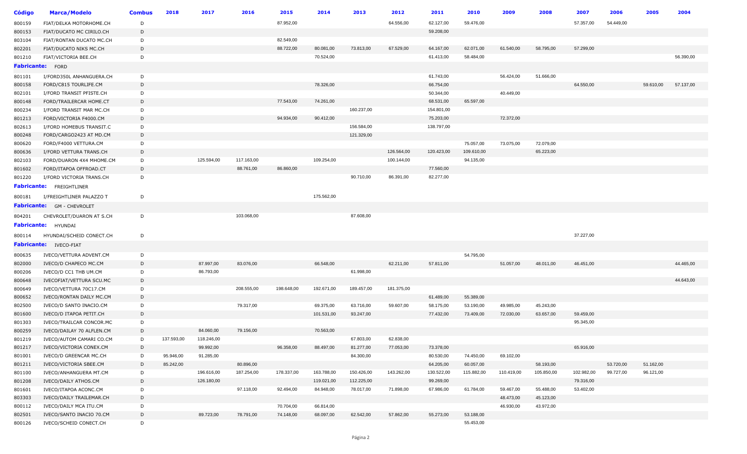| Código | <b>Marca/Modelo</b>                              | <b>Combus</b> | 2018       | 2017       | 2016       | 2015       | 2014       | 2013       | 2012       | 2011       | 2010       | 2009       | 2008       | 2007       | 2006      | 2005      | 2004      |
|--------|--------------------------------------------------|---------------|------------|------------|------------|------------|------------|------------|------------|------------|------------|------------|------------|------------|-----------|-----------|-----------|
| 800159 | FIAT/DELKA MOTORHOME.CH                          | D             |            |            |            | 87.952,00  |            |            | 64.556,00  | 62.127,00  | 59.476,00  |            |            | 57.357,00  | 54.449,00 |           |           |
| 800153 | FIAT/DUCATO MC CIRILO.CH                         | D             |            |            |            |            |            |            |            | 59.208,00  |            |            |            |            |           |           |           |
| 803104 | FIAT/RONTAN DUCATO MC.CH                         | D             |            |            |            | 82.549,00  |            |            |            |            |            |            |            |            |           |           |           |
| 802201 | FIAT/DUCATO NIKS MC.CH                           | D             |            |            |            | 88.722,00  | 80.081,00  | 73.813,00  | 67.529,00  | 64.167,00  | 62.071,00  | 61.540,00  | 58.795,00  | 57.299,00  |           |           |           |
| 801210 | FIAT/VICTORIA BEE.CH                             | D             |            |            |            |            | 70.524,00  |            |            | 61.413,00  | 58.484,00  |            |            |            |           |           | 56.390,00 |
|        | Fabricante: FORD                                 |               |            |            |            |            |            |            |            |            |            |            |            |            |           |           |           |
| 801101 | I/FORD350L ANHANGUERA.CH                         | D             |            |            |            |            |            |            |            | 61.743,00  |            | 56.424,00  | 51.666,00  |            |           |           |           |
| 800158 | FORD/C815 TOURLIFE.CM                            | D             |            |            |            |            | 78.326,00  |            |            | 66.754,00  |            |            |            | 64.550,00  |           | 59.610,00 | 57.137,00 |
| 802101 | I/FORD TRANSIT PFISTE.CH                         | D             |            |            |            |            |            |            |            | 50.344,00  |            | 40.449,00  |            |            |           |           |           |
| 800148 | FORD/TRAILERCAR HOME.CT                          | D             |            |            |            | 77.543,00  | 74.261,00  |            |            | 68.531,00  | 65.597,00  |            |            |            |           |           |           |
| 800234 | I/FORD TRANSIT MAR MC.CH                         | D             |            |            |            |            |            | 160.237,00 |            | 154.801,00 |            |            |            |            |           |           |           |
| 801213 | FORD/VICTORIA F4000.CM                           | D             |            |            |            | 94.934,00  | 90.412,00  |            |            | 75.203,00  |            | 72.372,00  |            |            |           |           |           |
| 802613 | I/FORD HOMEBUS TRANSIT.C                         | D             |            |            |            |            |            | 156.584,00 |            | 138.797,00 |            |            |            |            |           |           |           |
| 800248 | FORD/CARGO2423 AT MD.CM                          | D             |            |            |            |            |            | 121.329,00 |            |            |            |            |            |            |           |           |           |
| 800620 | FORD/F4000 VETTURA.CM                            | D             |            |            |            |            |            |            |            |            | 75.057,00  | 73.075,00  | 72.079,00  |            |           |           |           |
| 800636 | I/FORD VETTURA TRANS.CH                          | D             |            |            |            |            |            |            | 126.564,00 | 120.423,00 | 109.610,00 |            | 65.223,00  |            |           |           |           |
| 802103 | FORD/DUARON 4X4 MHOME.CM                         | D             |            | 125.594,00 | 117.163,00 |            | 109.254,00 |            | 100.144,00 |            | 94.135,00  |            |            |            |           |           |           |
| 801602 | FORD/ITAPOA OFFROAD.CT                           | D             |            |            | 88.761,00  | 86.860,00  |            |            |            | 77.560,00  |            |            |            |            |           |           |           |
| 801220 | I/FORD VICTORIA TRANS.CH                         | D             |            |            |            |            |            | 90.710,00  | 86.391,00  | 82.277,00  |            |            |            |            |           |           |           |
|        | <b>Fabricante:</b> FREIGHTLINER                  |               |            |            |            |            |            |            |            |            |            |            |            |            |           |           |           |
| 800181 | I/FREIGHTLINER PALAZZO T                         | D             |            |            |            |            | 175.562,00 |            |            |            |            |            |            |            |           |           |           |
|        | <b>Fabricante:</b> GM - CHEVROLET                |               |            |            |            |            |            |            |            |            |            |            |            |            |           |           |           |
| 804201 | CHEVROLET/DUARON AT S.CH                         | D             |            |            | 103.068,00 |            |            | 87.608,00  |            |            |            |            |            |            |           |           |           |
|        | <b>Fabricante:</b> HYUNDAI                       |               |            |            |            |            |            |            |            |            |            |            |            |            |           |           |           |
| 800114 | HYUNDAI/SCHEID CONECT.CH                         | D             |            |            |            |            |            |            |            |            |            |            |            | 37.227,00  |           |           |           |
|        | Fabricante: IVECO-FIAT                           |               |            |            |            |            |            |            |            |            |            |            |            |            |           |           |           |
| 800635 |                                                  | D             |            |            |            |            |            |            |            |            | 54.795,00  |            |            |            |           |           |           |
| 802000 | IVECO/VETTURA ADVENT.CM<br>IVECO/D CHAPECO MC.CM | D             |            | 87.997,00  | 83.076,00  |            | 66.548,00  |            | 62.211,00  | 57.811,00  |            | 51.057,00  | 48.011,00  | 46.451,00  |           |           | 44.465,00 |
| 800206 | IVECO/D CC1 THB UM.CM                            | D             |            | 86.793,00  |            |            |            | 61.998,00  |            |            |            |            |            |            |           |           |           |
| 800648 | IVECOFIAT/VETTURA SCU.MC                         | D             |            |            |            |            |            |            |            |            |            |            |            |            |           |           | 44.643,00 |
| 800649 | IVECO/VETTURA 70C17.CM                           | D             |            |            | 208.555,00 | 198.648,00 | 192.671,00 | 189.457,00 | 181.375,00 |            |            |            |            |            |           |           |           |
| 800652 | IVECO/RONTAN DAILY MC.CM                         | D             |            |            |            |            |            |            |            | 61.489,00  | 55.389,00  |            |            |            |           |           |           |
| 802500 | IVECO/D SANTO INACIO.CM                          | D             |            |            | 79.317,00  |            | 69.375,00  | 63.716,00  | 59.607,00  | 58.175,00  | 53.190,00  | 49.985,00  | 45.243,00  |            |           |           |           |
| 801600 | IVECO/D ITAPOA PETIT.CH                          | D             |            |            |            |            | 101.531,00 | 93.247,00  |            | 77.432,00  | 73.409,00  | 72.030,00  | 63.657,00  | 59.459,00  |           |           |           |
| 801303 | IVECO/TRAILCAR CONCOR.MC                         | D             |            |            |            |            |            |            |            |            |            |            |            | 95.345,00  |           |           |           |
| 800259 | IVECO/DAILAY 70 ALFLEN.CM                        | D             |            | 84.060,00  | 79.156,00  |            | 70.563,00  |            |            |            |            |            |            |            |           |           |           |
| 801219 | IVECO/AUTOM CAMARI CO.CM                         | D             | 137.593,00 | 118.246,00 |            |            |            | 67.803,00  | 62.838,00  |            |            |            |            |            |           |           |           |
| 801217 | IVECO/VICTORIA CONEX.CM                          | D             |            | 99.992,00  |            | 96.358,00  | 88.497,00  | 81.277,00  | 77.053,00  | 73.378,00  |            |            |            | 65.916,00  |           |           |           |
| 801001 | IVECO/D GREENCAR MC.CH                           | D             | 95.946,00  | 91.285,00  |            |            |            | 84.300,00  |            | 80.530,00  | 74.450,00  | 69.102,00  |            |            |           |           |           |
| 801211 | IVECO/VICTORIA SBEE.CM                           | D             | 85.242,00  |            | 80.896,00  |            |            |            |            | 64.205,00  | 60.057,00  |            | 58.193,00  |            | 53.720,00 | 51.162,00 |           |
| 801100 | IVECO/ANHANGUERA MT.CM                           | D             |            | 196.616,00 | 187.254,00 | 178.337,00 | 163.788,00 | 150.426,00 | 143.262,00 | 130.522,00 | 115.882,00 | 110.419,00 | 105.850,00 | 102.982,00 | 99.727,00 | 96.121,00 |           |
| 801208 | IVECO/DAILY ATHOS.CM                             | D             |            | 126.180,00 |            |            | 119.021,00 | 112.225,00 |            | 99.269,00  |            |            |            | 79.316,00  |           |           |           |
| 801601 | IVECO/ITAPOA ACONC.CM                            | D             |            |            | 97.118,00  | 92.494,00  | 84.948,00  | 78.017,00  | 71.898,00  | 67.986,00  | 61.784,00  | 59.467,00  | 55.488,00  | 53.402,00  |           |           |           |
| 803303 | IVECO/DAILY TRAILEMAR.CH                         | D             |            |            |            |            |            |            |            |            |            | 48.473,00  | 45.123,00  |            |           |           |           |
| 800112 | IVECO/DAILY MCA ITU.CM                           | D             |            |            |            | 70.704,00  | 66.814,00  |            |            |            |            | 46.930,00  | 43.972,00  |            |           |           |           |
| 802501 | IVECO/SANTO INACIO 70.CM                         | D             |            | 89.723,00  | 78.791,00  | 74.148,00  | 68.097,00  | 62.542,00  | 57.862,00  | 55.273,00  | 53.188,00  |            |            |            |           |           |           |
| 800126 | IVECO/SCHEID CONECT.CH                           | D             |            |            |            |            |            |            |            |            | 55.453,00  |            |            |            |           |           |           |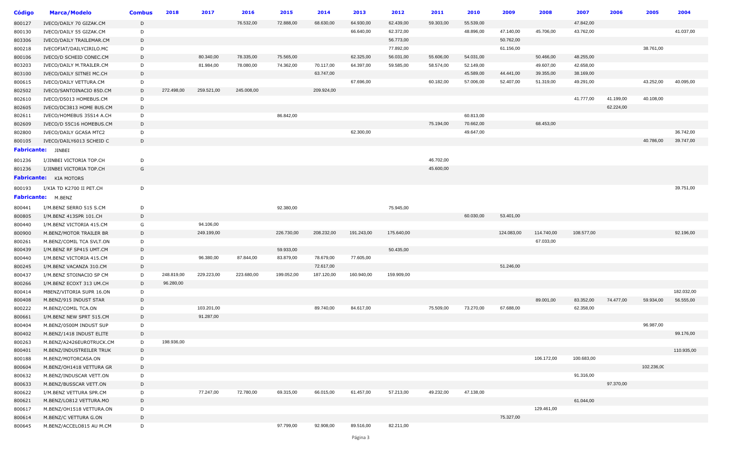| <b>Código</b> | <b>Marca/Modelo</b>           | <b>Combus</b> | 2018       | 2017       | 2016       | 2015       | 2014       | 2013       | 2012       | 2011      | 2010      | 2009       | 2008       | 2007       | 2006      | 2005       | 2004       |
|---------------|-------------------------------|---------------|------------|------------|------------|------------|------------|------------|------------|-----------|-----------|------------|------------|------------|-----------|------------|------------|
| 800127        | IVECO/DAILY 70 GIZAK.CM       | D             |            |            | 76.532,00  | 72.888,00  | 68.630,00  | 64.930,00  | 62.439,00  | 59.303,00 | 55.539,00 |            |            | 47.842,00  |           |            |            |
| 800130        | IVECO/DAILY 55 GIZAK.CM       | D             |            |            |            |            |            | 66.640,00  | 62.372,00  |           | 48.896,00 | 47.140,00  | 45.706,00  | 43.762,00  |           |            | 41.037,00  |
| 803306        | IVECO/DAILY TRAILEMAR.CM      | D             |            |            |            |            |            |            | 56.773,00  |           |           | 50.762,00  |            |            |           |            |            |
| 800218        | IVECOFIAT/DAILYCIRILO.MC      | D             |            |            |            |            |            |            | 77.892,00  |           |           | 61.156,00  |            |            |           | 38.761,00  |            |
| 800106        | IVECO/D SCHEID CONEC.CM       | D             |            | 80.340,00  | 78.335,00  | 75.565,00  |            | 62.325,00  | 56.031,00  | 55.606,00 | 54.031,00 |            | 50.466,00  | 48.255,00  |           |            |            |
| 803203        | IVECO/DAILY M.TRAILER.CM      | D             |            | 81.984,00  | 78.080,00  | 74.362,00  | 70.117,00  | 64.397,00  | 59.585,00  | 58.574,00 | 52.149,00 |            | 49.607,00  | 42.658,00  |           |            |            |
| 803100        | IVECO/DAILY SITNEI MC.CH      | D             |            |            |            |            | 63.747,00  |            |            |           | 45.589,00 | 44.441,00  | 39.355,00  | 38.169,00  |           |            |            |
| 800615        | IVECO/DAILY VETTURA.CM        | D             |            |            |            |            |            | 67.696,00  |            | 60.182,00 | 57.006,00 | 52.407,00  | 51.319,00  | 49.291,00  |           | 43.252,00  | 40.095,00  |
| 802502        | IVECO/SANTOINACIO 85D.CM      | D             | 272.498,00 | 259.521,00 | 245.008,00 |            | 209.924,00 |            |            |           |           |            |            |            |           |            |            |
| 802610        | IVECO/D5013 HOMEBUS.CM        | D             |            |            |            |            |            |            |            |           |           |            |            | 41.777,00  | 41.199,00 | 40.108,00  |            |
| 802605        | IVECO/DC3813 HOME BUS.CM      | D             |            |            |            |            |            |            |            |           |           |            |            |            | 62.224,00 |            |            |
| 802611        | IVECO/HOMEBUS 35S14 A.CH      | D             |            |            |            | 86.842,00  |            |            |            |           | 60.813,00 |            |            |            |           |            |            |
| 802609        | IVECO/D 55C16 HOMEBUS.CM      | D             |            |            |            |            |            |            |            | 75.194,00 | 70.662,00 |            | 68.453,00  |            |           |            |            |
| 802800        | IVECO/DAILY GCASA MTC2        | D             |            |            |            |            |            | 62.300,00  |            |           | 49.647,00 |            |            |            |           |            | 36.742,00  |
| 800105        | IVECO/DAILY6013 SCHEID C      | D             |            |            |            |            |            |            |            |           |           |            |            |            |           | 40.786,00  | 39.747,00  |
|               | <b>Fabricante:</b> JINBEI     |               |            |            |            |            |            |            |            |           |           |            |            |            |           |            |            |
| 801236        | I/JINBEI VICTORIA TOP.CH      | D             |            |            |            |            |            |            |            | 46.702,00 |           |            |            |            |           |            |            |
| 801236        | I/JINBEI VICTORIA TOP.CH      | G             |            |            |            |            |            |            |            | 45.600,00 |           |            |            |            |           |            |            |
|               | <b>Fabricante:</b> KIA MOTORS |               |            |            |            |            |            |            |            |           |           |            |            |            |           |            |            |
| 800193        | I/KIA TD K2700 II PET.CH      | D             |            |            |            |            |            |            |            |           |           |            |            |            |           |            | 39.751,00  |
|               | Fabricante: M.BENZ            |               |            |            |            |            |            |            |            |           |           |            |            |            |           |            |            |
| 800441        | I/M.BENZ SERRO 515 S.CM       | D             |            |            |            | 92.380,00  |            |            | 75.945,00  |           |           |            |            |            |           |            |            |
| 800805        | I/M.BENZ 413SPR 101.CH        | D             |            |            |            |            |            |            |            |           | 60.030,00 | 53.401,00  |            |            |           |            |            |
| 800440        | I/M.BENZ VICTORIA 415.CM      | G             |            | 94.106,00  |            |            |            |            |            |           |           |            |            |            |           |            |            |
| 800900        | M.BENZ/MOTOR TRAILER BR       | D             |            | 249.199,00 |            | 226.730,00 | 208.232,00 | 191.243,00 | 175.640,00 |           |           | 124.083,00 | 114.740,00 | 108.577,00 |           |            | 92.196,00  |
| 800261        | M.BENZ/COMIL TCA SVLT.ON      | D             |            |            |            |            |            |            |            |           |           |            | 67.033,00  |            |           |            |            |
| 800439        | I/M.BENZ RF SP415 UMT.CM      | D             |            |            |            | 59.933,00  |            |            | 50.435,00  |           |           |            |            |            |           |            |            |
| 800440        | I/M.BENZ VICTORIA 415.CM      | D             |            | 96.380,00  | 87.844,00  | 83.879,00  | 78.679,00  | 77.605,00  |            |           |           |            |            |            |           |            |            |
| 800245        | I/M.BENZ VACANZA 310.CM       | D             |            |            |            |            | 72.617,00  |            |            |           |           | 51.246,00  |            |            |           |            |            |
| 800437        | I/M.BENZ STOINACIO SP CM      | D             | 248.819,00 | 229.223,00 | 223.680,00 | 199.052,00 | 187.120,00 | 160.940,00 | 159.909,00 |           |           |            |            |            |           |            |            |
| 800266        | I/M.BENZ ECOXT 313 UM.CH      | D             | 96.280,00  |            |            |            |            |            |            |           |           |            |            |            |           |            |            |
| 800414        | MBENZ/VITORIA SUPR 16.ON      | D             |            |            |            |            |            |            |            |           |           |            |            |            |           |            | 182.032,00 |
| 800408        | M.BENZ/915 INDUST STAR        | D             |            |            |            |            |            |            |            |           |           |            | 89.001,00  | 83.352,00  | 74.477,00 | 59.934,00  | 56.555,00  |
| 800222        | M.BENZ/COMIL TCA.ON           | D             |            | 103.201,00 |            |            | 89.740,00  | 84.617,00  |            | 75.509,00 | 73.270,00 | 67.688,00  |            | 62.358,00  |           |            |            |
| 800661        | I/M.BENZ NEW SPRT 515.CM      | D             |            | 91.287,00  |            |            |            |            |            |           |           |            |            |            |           |            |            |
| 800404        | M.BENZ/0500M INDUST SUP       | D             |            |            |            |            |            |            |            |           |           |            |            |            |           | 96.987,00  |            |
| 800402        | M.BENZ/1418 INDUST ELITE      | D             |            |            |            |            |            |            |            |           |           |            |            |            |           |            | 99.176,00  |
| 800263        | M.BENZ/A2426EUROTRUCK.CM      | D             | 198.936,00 |            |            |            |            |            |            |           |           |            |            |            |           |            |            |
| 800401        | M.BENZ/INDUSTREILER TRUK      | D             |            |            |            |            |            |            |            |           |           |            |            |            |           |            | 110.935,00 |
| 800188        | M.BENZ/MOTORCASA.ON           | D             |            |            |            |            |            |            |            |           |           |            | 106.172,00 | 100.683,00 |           |            |            |
| 800604        | M.BENZ/OH1418 VETTURA GR      | D             |            |            |            |            |            |            |            |           |           |            |            |            |           | 102.236,00 |            |
| 800632        | M.BENZ/INDUSCAR VETT.ON       | D             |            |            |            |            |            |            |            |           |           |            |            | 91.316,00  |           |            |            |
| 800633        | M.BENZ/BUSSCAR VETT.ON        | D             |            |            |            |            |            |            |            |           |           |            |            |            | 97.370,00 |            |            |
| 800622        | I/M.BENZ VETTURA SPR.CM       | D             |            | 77.247,00  | 72.780,00  | 69.315,00  | 66.015,00  | 61.457,00  | 57.213,00  | 49.232,00 | 47.138,00 |            |            |            |           |            |            |
| 800621        | M.BENZ/LO812 VETTURA.MO       | D             |            |            |            |            |            |            |            |           |           |            |            | 61.044,00  |           |            |            |
| 800617        | M.BENZ/OH1518 VETTURA.ON      | D             |            |            |            |            |            |            |            |           |           |            | 129.461,00 |            |           |            |            |
| 800614        | M.BENZ/C VETTURA G.ON         | D             |            |            |            |            |            |            |            |           |           | 75.327,00  |            |            |           |            |            |
| 800645        | M.BENZ/ACCELO815 AU M.CM      | D             |            |            |            | 97.799,00  | 92.908,00  | 89.516,00  | 82.211,00  |           |           |            |            |            |           |            |            |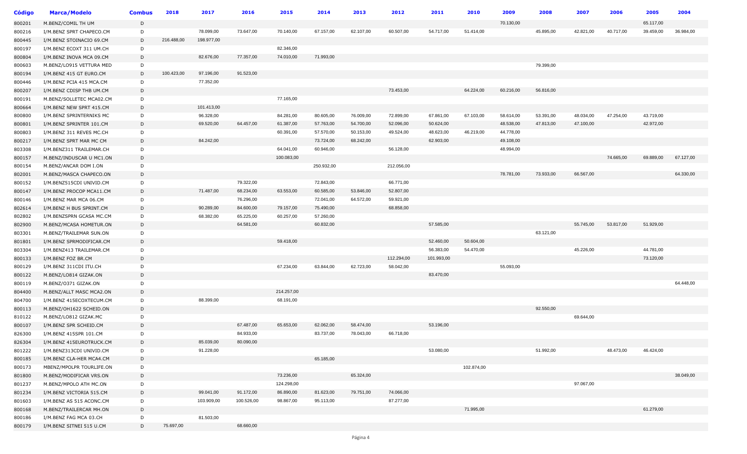| <b>Código</b> | <b>Marca/Modelo</b>                                  | <b>Combus</b> | 2018       | 2017       | 2016       | 2015       | 2014       | 2013      | 2012       | 2011       | 2010       | 2009      | 2008      | 2007      | 2006      | 2005      | 2004      |
|---------------|------------------------------------------------------|---------------|------------|------------|------------|------------|------------|-----------|------------|------------|------------|-----------|-----------|-----------|-----------|-----------|-----------|
| 800201        | M.BENZ/COMIL TH UM                                   | D             |            |            |            |            |            |           |            |            |            | 70.130,00 |           |           |           | 65.117,00 |           |
| 800216        | I/M.BENZ SPRT CHAPECO.CM                             | D             |            | 78.099,00  | 73.647,00  | 70.140,00  | 67.157,00  | 62.107,00 | 60.507,00  | 54.717,00  | 51.414,00  |           | 45.895,00 | 42.821,00 | 40.717,00 | 39.459,00 | 36.984,00 |
| 800445        | I/M.BENZ STOINACIO 69.CM                             | D             | 216.488,00 | 198.977,00 |            |            |            |           |            |            |            |           |           |           |           |           |           |
| 800197        | I/M.BENZ ECOXT 311 UM.CH                             | D             |            |            |            | 82.346,00  |            |           |            |            |            |           |           |           |           |           |           |
| 800804        | I/M.BENZ INOVA MCA 09.CM                             | D             |            | 82.676,00  | 77.357,00  | 74.010,00  | 71.993,00  |           |            |            |            |           |           |           |           |           |           |
| 800603        | M.BENZ/LO915 VETTURA MED                             | D             |            |            |            |            |            |           |            |            |            |           | 79.399,00 |           |           |           |           |
| 800194        | I/M.BENZ 415 GT EURO.CM                              | D             | 100.423,00 | 97.196,00  | 91.523,00  |            |            |           |            |            |            |           |           |           |           |           |           |
| 800446        | I/M.BENZ PCIA 415 MCA.CM                             | D             |            | 77.352,00  |            |            |            |           |            |            |            |           |           |           |           |           |           |
| 800207        | I/M.BENZ CDISP THB UM.CM                             | D             |            |            |            |            |            |           | 73.453,00  |            | 64.224,00  | 60.216,00 | 56.816,00 |           |           |           |           |
| 800191        | M.BENZ/SOLLETEC MCA02.CM                             | D             |            |            |            | 77.165,00  |            |           |            |            |            |           |           |           |           |           |           |
| 800664        | I/M.BENZ NEW SPRT 415.CM                             | D             |            | 101.413,00 |            |            |            |           |            |            |            |           |           |           |           |           |           |
| 800800        | I/M.BENZ SPRINTERNIKS MC                             | D             |            | 96.328,00  |            | 84.281,00  | 80.605,00  | 76.009,00 | 72.899,00  | 67.861,00  | 67.103,00  | 58.614,00 | 53.391,00 | 48.034,00 | 47.254,00 | 43.719,00 |           |
| 800801        | I/M.BENZ SPRINTER 101.CM                             | D             |            | 69.520,00  | 64.457,00  | 61.387,00  | 57.763,00  | 54.700,00 | 52.096,00  | 50.624,00  |            | 48.538,00 | 47.813,00 | 47.100,00 |           | 42.972,00 |           |
| 800803        | I/M.BENZ 311 REVES MC.CH                             | D             |            |            |            | 60.391,00  | 57.570,00  | 50.153,00 | 49.524,00  | 48.623,00  | 46.219,00  | 44.778,00 |           |           |           |           |           |
| 800217        | I/M.BENZ SPRT MAR MC CM                              | D             |            | 84.242,00  |            |            | 73.724,00  | 68.242,00 |            | 62.903,00  |            | 49.108,00 |           |           |           |           |           |
| 803308        | I/M.BENZ311 TRAILEMAR.CH                             | D             |            |            |            | 64.041,00  | 60.946,00  |           | 56.128,00  |            |            | 48.994,00 |           |           |           |           |           |
| 800157        | M.BENZ/INDUSCAR U MC1.ON                             | D             |            |            |            | 100.083,00 |            |           |            |            |            |           |           |           | 74.665,00 | 69.889,00 | 67.127,00 |
| 800154        | M.BENZ/ANCAR DOM I.ON                                | D             |            |            |            |            | 250.932,00 |           | 212.056,00 |            |            |           |           |           |           |           |           |
| 802001        | M.BENZ/MASCA CHAPECO.ON                              | D             |            |            |            |            |            |           |            |            |            | 78.781,00 | 73.933,00 | 66.567,00 |           |           | 64.330,00 |
| 800152        | I/M.BENZ515CDI UNIVID.CM                             | D             |            |            | 79.322,00  |            | 72.843,00  |           | 66.771,00  |            |            |           |           |           |           |           |           |
| 800147        | I/M.BENZ PROCOP MCA11.CM                             | D             |            | 71.487,00  | 68.234,00  | 63.553,00  | 60.585,00  | 53.846,00 | 52.807,00  |            |            |           |           |           |           |           |           |
| 800146        | I/M.BENZ MAR MCA 06.CM                               | D             |            |            | 76.296,00  |            | 72.041,00  | 64.572,00 | 59.921,00  |            |            |           |           |           |           |           |           |
| 802614        | I/M.BENZ H BUS SPRINT.CM                             | D             |            | 90.289,00  | 84.600,00  | 79.157,00  | 75.490,00  |           | 68.858,00  |            |            |           |           |           |           |           |           |
| 802802        | I/M.BENZSPRN GCASA MC.CM                             | D             |            | 68.382,00  | 65.225,00  | 60.257,00  | 57.260,00  |           |            |            |            |           |           |           |           |           |           |
| 802900        | M.BENZ/MCASA HOMETUR.ON                              | D             |            |            | 64.581,00  |            | 60.832,00  |           |            | 57.585,00  |            |           |           | 55.745,00 | 53.817,00 | 51.929,00 |           |
| 803301        | M.BENZ/TRAILEMAR SUN.ON                              | D             |            |            |            |            |            |           |            |            |            |           | 63.121,00 |           |           |           |           |
| 801801        | I/M.BENZ SPRMODIFICAR.CM                             | D             |            |            |            | 59.418,00  |            |           |            | 52.460,00  | 50.604,00  |           |           |           |           |           |           |
| 803304        | I/M.BENZ413 TRAILEMAR.CM                             | D             |            |            |            |            |            |           |            | 56.383,00  | 54.470,00  |           |           | 45.226,00 |           | 44.781,00 |           |
| 800133        | I/M.BENZ FOZ BR.CM                                   | D             |            |            |            |            |            |           | 112.294,00 | 101.993,00 |            |           |           |           |           | 73.120,00 |           |
| 800129        | I/M.BENZ 311CDI ITU.CH                               | D             |            |            |            | 67.234,00  | 63.844,00  | 62.723,00 | 58.042,00  |            |            | 55.093,00 |           |           |           |           |           |
| 800122        | M.BENZ/LO814 GIZAK.ON                                | D             |            |            |            |            |            |           |            | 83.470,00  |            |           |           |           |           |           |           |
| 800119        | M.BENZ/O371 GIZAK.ON                                 | D             |            |            |            |            |            |           |            |            |            |           |           |           |           |           | 64.448,00 |
| 804400        |                                                      | D             |            |            |            | 214.257,00 |            |           |            |            |            |           |           |           |           |           |           |
|               | M.BENZ/ALLT MASC MCA2.ON<br>I/M.BENZ 415ECOXTECUM.CM | D             |            | 88.399,00  |            | 68.191,00  |            |           |            |            |            |           |           |           |           |           |           |
| 804700        |                                                      |               |            |            |            |            |            |           |            |            |            |           | 92.550,00 |           |           |           |           |
| 800113        | M.BENZ/OH1622 SCHEID.ON                              | D<br>D        |            |            |            |            |            |           |            |            |            |           |           | 69.644,00 |           |           |           |
| 810122        | M.BENZ/LO812 GIZAK.MC                                | D             |            |            | 67.487,00  | 65.653,00  | 62.062,00  | 58.474,00 |            | 53.196,00  |            |           |           |           |           |           |           |
| 800107        | I/M.BENZ SPR SCHEID.CM                               |               |            |            | 84.933,00  |            | 83.737,00  | 78.043,00 | 66.718,00  |            |            |           |           |           |           |           |           |
| 826300        | I/M.BENZ 415SPR 101.CM                               | D             |            |            | 80.090,00  |            |            |           |            |            |            |           |           |           |           |           |           |
| 826304        | I/M.BENZ 415EUROTRUCK.CM                             | D             |            | 85.039,00  |            |            |            |           |            |            |            |           |           |           |           |           |           |
| 801222        | I/M.BENZ313CDI UNIVID.CM                             | D             |            | 91.228,00  |            |            |            |           |            | 53.080,00  |            |           | 51.992,00 |           | 48.473,00 | 46.424,00 |           |
| 800185        | I/M.BENZ CLA-HER MCA4.CM                             | D             |            |            |            |            | 65.185,00  |           |            |            |            |           |           |           |           |           |           |
| 800173        | MBENZ/MPOLPR TOURLIFE.ON                             | D             |            |            |            |            |            |           |            |            | 102.874,00 |           |           |           |           |           |           |
| 801800        | M.BENZ/MODIFICAR VRS.ON                              | D             |            |            |            | 73.236,00  |            | 65.324,00 |            |            |            |           |           |           |           |           | 38.049,00 |
| 801237        | M.BENZ/MPOLO ATH MC.ON                               | D             |            |            |            | 124.298,00 |            |           |            |            |            |           |           | 97.067,00 |           |           |           |
| 801234        | I/M.BENZ VICTORIA 515.CM                             | D             |            | 99.041,00  | 91.172,00  | 86.890,00  | 81.623,00  | 79.751,00 | 74.066,00  |            |            |           |           |           |           |           |           |
| 801603        | I/M.BENZ AS 515 ACONC.CM                             | D             |            | 103.909,00 | 100.526,00 | 98.867,00  | 95.113,00  |           | 87.277,00  |            |            |           |           |           |           |           |           |
| 800168        | M.BENZ/TRAILERCAR MH.ON                              | D             |            |            |            |            |            |           |            |            | 71.995,00  |           |           |           |           | 61.279,00 |           |
| 800186        | I/M.BENZ FAG MCA 03.CH                               | D             |            | 81.503,00  |            |            |            |           |            |            |            |           |           |           |           |           |           |
| 800179        | I/M.BENZ SITNEI 515 U.CM                             | D             | 75.697,00  |            | 68.660,00  |            |            |           |            |            |            |           |           |           |           |           |           |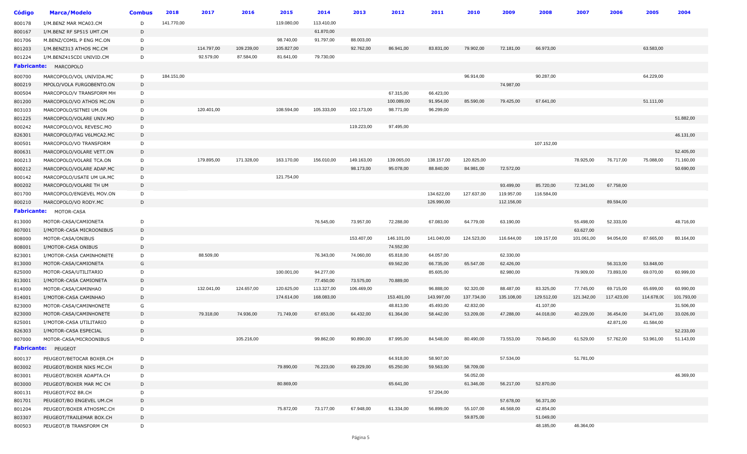| Código             | <b>Marca/Modelo</b>      | <b>Combus</b> | 2018       | 2017       | 2016       | 2015       | 2014       | 2013       | 2012       | 2011       | 2010       | 2009       | 2008       | 2007       | 2006       | 2005       | 2004       |
|--------------------|--------------------------|---------------|------------|------------|------------|------------|------------|------------|------------|------------|------------|------------|------------|------------|------------|------------|------------|
| 800178             | I/M.BENZ MAR MCA03.CM    | D             | 141.770,00 |            |            | 119.080,00 | 113.410,00 |            |            |            |            |            |            |            |            |            |            |
| 800167             | I/M.BENZ RF SP515 UMT.CM | D             |            |            |            |            | 61.870,00  |            |            |            |            |            |            |            |            |            |            |
| 801706             | M.BENZ/COMIL P ENG MC.ON | D             |            |            |            | 98.740,00  | 91.797,00  | 88.003,00  |            |            |            |            |            |            |            |            |            |
| 801203             | I/M.BENZ313 ATHOS MC.CM  | D             |            | 114.797,00 | 109.239,00 | 105.827,00 |            | 92.762,00  | 86.941,00  | 83.831,00  | 79.902,00  | 72.181,00  | 66.973,00  |            |            | 63.583,00  |            |
| 801224             | I/M.BENZ415CDI UNIVID.CM | D             |            | 92.579,00  | 87.584,00  | 81.641,00  | 79.730,00  |            |            |            |            |            |            |            |            |            |            |
| <b>Fabricante:</b> | MARCOPOLO                |               |            |            |            |            |            |            |            |            |            |            |            |            |            |            |            |
| 800700             | MARCOPOLO/VOL UNIVIDA.MC | D             | 184.151,00 |            |            |            |            |            |            |            | 96.914,00  |            | 90.287,00  |            |            | 64.229,00  |            |
| 800219             | MPOLO/VOLA FURGOBENTO.ON | D             |            |            |            |            |            |            |            |            |            | 74.987,00  |            |            |            |            |            |
| 800504             | MARCOPOLO/V TRANSFORM MH | D             |            |            |            |            |            |            | 67.315,00  | 66.423,00  |            |            |            |            |            |            |            |
| 801200             | MARCOPOLO/VO ATHOS MC.ON | D             |            |            |            |            |            |            | 100.089,00 | 91.954,00  | 85.590,00  | 79.425,00  | 67.641,00  |            |            | 51.111,00  |            |
| 803103             | MARCOPOLO/SITNEI UM.ON   | D             |            | 120.401,00 |            | 108.594,00 | 105.333,00 | 102.173,00 | 98.771,00  | 96.299,00  |            |            |            |            |            |            |            |
| 801225             | MARCOPOLO/VOLARE UNIV.MO | D             |            |            |            |            |            |            |            |            |            |            |            |            |            |            | 51.882,00  |
| 800242             | MARCOPOLO/VOL REVESC.MO  | D             |            |            |            |            |            | 119.223,00 | 97.495,00  |            |            |            |            |            |            |            |            |
| 826301             | MARCOPOLO/FAG V6LMCA2.MC | D             |            |            |            |            |            |            |            |            |            |            |            |            |            |            | 46.131,00  |
| 800501             | MARCOPOLO/VO TRANSFORM   | D             |            |            |            |            |            |            |            |            |            |            | 107.152,00 |            |            |            |            |
| 800631             | MARCOPOLO/VOLARE VETT.ON | D             |            |            |            |            |            |            |            |            |            |            |            |            |            |            | 52.405,00  |
| 800213             | MARCOPOLO/VOLARE TCA.ON  | D             |            | 179.895,00 | 171.328,00 | 163.170,00 | 156.010,00 | 149.163,00 | 139.065,00 | 138.157,00 | 120.825,00 |            |            | 78.925,00  | 76.717,00  | 75.088,00  | 71.160,00  |
| 800212             | MARCOPOLO/VOLARE ADAP.MC | D             |            |            |            |            |            | 98.173,00  | 95.078,00  | 88.840,00  | 84.981,00  | 72.572,00  |            |            |            |            | 50.690,00  |
| 800142             | MARCOPOLO/USATE UM UA.MC | D             |            |            |            | 121.754,00 |            |            |            |            |            |            |            |            |            |            |            |
| 800202             | MARCOPOLO/VOLARE TH UM   | D             |            |            |            |            |            |            |            |            |            | 93.499,00  | 85.720,00  | 72.341,00  | 67.758,00  |            |            |
| 801700             | MARCOPOLO/ENGEVEL MOV.ON | D             |            |            |            |            |            |            |            | 134.622,00 | 127.637,00 | 119.957,00 | 116.584,00 |            |            |            |            |
| 800210             | MARCOPOLO/VO RODY.MC     | D             |            |            |            |            |            |            |            | 126.990,00 |            | 112.156,00 |            |            | 89.594,00  |            |            |
| <b>Fabricante:</b> | MOTOR-CASA               |               |            |            |            |            |            |            |            |            |            |            |            |            |            |            |            |
| 813000             | MOTOR-CASA/CAMIONETA     | D             |            |            |            |            | 76.545,00  | 73.957,00  | 72.288,00  | 67.083,00  | 64.779,00  | 63.190,00  |            | 55.498,00  | 52.333,00  |            | 48.716,00  |
| 807001             | I/MOTOR-CASA MICROONIBUS | D             |            |            |            |            |            |            |            |            |            |            |            | 63.627,00  |            |            |            |
| 808000             | MOTOR-CASA/ONIBUS        | D             |            |            |            |            |            | 153.407,00 | 146.101,00 | 141.040,00 | 124.523,00 | 116.644,00 | 109.157,00 | 101.061,00 | 94.054,00  | 87.665,00  | 80.164,00  |
| 808001             | I/MOTOR-CASA ONIBUS      | D             |            |            |            |            |            |            | 74.552,00  |            |            |            |            |            |            |            |            |
| 823001             | I/MOTOR-CASA CAMINHONETE | D             |            | 88.509,00  |            |            | 76.343,00  | 74.060,00  | 65.818,00  | 64.057,00  |            | 62.330,00  |            |            |            |            |            |
| 813000             | MOTOR-CASA/CAMIONETA     | G             |            |            |            |            |            |            | 69.562,00  | 66.735,00  | 65.547,00  | 62.426,00  |            |            | 56.313,00  | 53.848,00  |            |
| 825000             | MOTOR-CASA/UTILITARIO    | D             |            |            |            | 100.001,00 | 94.277,00  |            |            | 85.605,00  |            | 82.980,00  |            | 79.909,00  | 73.893,00  | 69.070,00  | 60.999,00  |
| 813001             | I/MOTOR-CASA CAMIONETA   | D             |            |            |            |            | 77.450,00  | 73.575,00  | 70.889,00  |            |            |            |            |            |            |            |            |
| 814000             | MOTOR-CASA/CAMINHAO      | D             |            | 132.041,00 | 124.657,00 | 120.625,00 | 113.327,00 | 106.469,00 |            | 96.888,00  | 92.320,00  | 88.487,00  | 83.325,00  | 77.745,00  | 69.715,00  | 65.699,00  | 60.990,00  |
| 814001             | I/MOTOR-CASA CAMINHAO    | D             |            |            |            | 174.614,00 | 168.083,00 |            | 153.401,00 | 143.997,00 | 137.734,00 | 135.108,00 | 129.512,00 | 121.342,00 | 117.423,00 | 114.678,00 | 101.793,00 |
| 823000             | MOTOR-CASA/CAMINHONETE   | G             |            |            |            |            |            |            | 48.813,00  | 45.493,00  | 42.832,00  |            | 41.107,00  |            |            |            | 31.506,00  |
| 823000             | MOTOR-CASA/CAMINHONETE   | D             |            | 79.318,00  | 74.936,00  | 71.749,00  | 67.653,00  | 64.432,00  | 61.364,00  | 58.442,00  | 53.209,00  | 47.288,00  | 44.018,00  | 40.229,00  | 36.454,00  | 34.471,00  | 33.026,00  |
| 825001             | I/MOTOR-CASA UTILITARIO  | D             |            |            |            |            |            |            |            |            |            |            |            |            | 42.871,00  | 41.584,00  |            |
| 826303             | I/MOTOR-CASA ESPECIAL    | D             |            |            |            |            |            |            |            |            |            |            |            |            |            |            | 52.233,00  |
| 807000             | MOTOR-CASA/MICROONIBUS   | D             |            |            | 105.216,00 |            | 99.862,00  | 90.890,00  | 87.995,00  | 84.548,00  | 80.490,00  | 73.553,00  | 70.845,00  | 61.529,00  | 57.762,00  | 53.961,00  | 51.143,00  |
|                    | Fabricante: PEUGEOT      |               |            |            |            |            |            |            |            |            |            |            |            |            |            |            |            |
| 800137             | PEUGEOT/BETOCAR BOXER.CH | D             |            |            |            |            |            |            | 64.918,00  | 58.907,00  |            | 57.534,00  |            | 51.781,00  |            |            |            |
| 803002             | PEUGEOT/BOXER NIKS MC.CH | D             |            |            |            | 79.890,00  | 76.223,00  | 69.229,00  | 65.250,00  | 59.563,00  | 58.709,00  |            |            |            |            |            |            |
| 803001             | PEUGEOT/BOXER ADAPTA.CH  | D             |            |            |            |            |            |            |            |            | 56.052,00  |            |            |            |            |            | 46.369,00  |
| 803000             | PEUGEOT/BOXER MAR MC CH  | D             |            |            |            | 80.869,00  |            |            | 65.641,00  |            | 61.346,00  | 56.217,00  | 52.870,00  |            |            |            |            |
| 800131             | PEUGEOT/FOZ BR.CH        | D             |            |            |            |            |            |            |            | 57.204,00  |            |            |            |            |            |            |            |
| 801701             | PEUGEOT/BO ENGEVEL UM.CH | D             |            |            |            |            |            |            |            |            |            | 57.678,00  | 56.371,00  |            |            |            |            |
| 801204             | PEUGEOT/BOXER ATHOSMC.CH | D             |            |            |            | 75.872,00  | 73.177,00  | 67.948,00  | 61.334,00  | 56.899,00  | 55.107,00  | 46.568,00  | 42.854,00  |            |            |            |            |
| 803307             | PEUGEOT/TRAILEMAR BOX.CH | D             |            |            |            |            |            |            |            |            | 59.875,00  |            | 51.049,00  |            |            |            |            |
| 800503             | PEUGEOT/B TRANSFORM CM   | D             |            |            |            |            |            |            |            |            |            |            | 48.185,00  | 46.364,00  |            |            |            |
|                    |                          |               |            |            |            |            |            |            |            |            |            |            |            |            |            |            |            |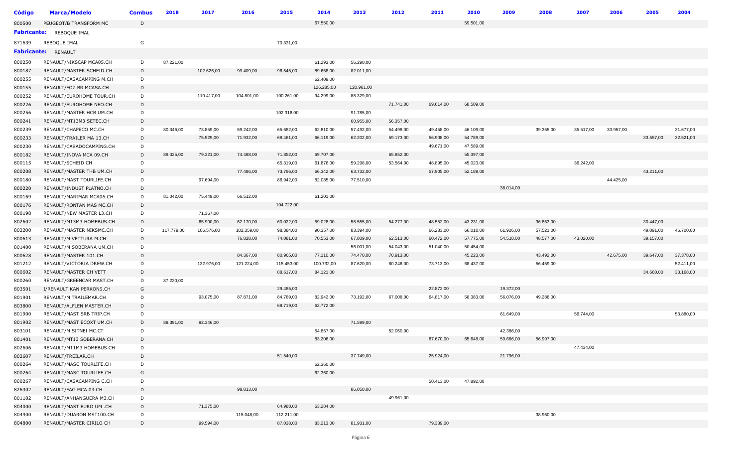| <b>Código</b>      | <b>Marca/Modelo</b>                                  | <b>Combus</b> | 2018       | 2017       | 2016       | 2015       | 2014       | 2013       | 2012      | 2011      | 2010      | 2009      | 2008      | 2007      | 2006      | 2005      | 2004      |
|--------------------|------------------------------------------------------|---------------|------------|------------|------------|------------|------------|------------|-----------|-----------|-----------|-----------|-----------|-----------|-----------|-----------|-----------|
| 800500             | PEUGEOT/B TRANSFORM MC                               | D             |            |            |            |            | 67.550,00  |            |           |           | 59.501,00 |           |           |           |           |           |           |
| <b>Fabricante:</b> | REBOQUE IMAL                                         |               |            |            |            |            |            |            |           |           |           |           |           |           |           |           |           |
| 871639             | REBOQUE IMAL                                         | G             |            |            |            | 70.331,00  |            |            |           |           |           |           |           |           |           |           |           |
| <b>Fabricante:</b> | RENAULT                                              |               |            |            |            |            |            |            |           |           |           |           |           |           |           |           |           |
| 800250             | RENAULT/NIKSCAP MCA05.CH                             | D             | 87.221,00  |            |            |            | 61.293,00  | 56.290,00  |           |           |           |           |           |           |           |           |           |
| 800187             | RENAULT/MASTER SCHEID.CH                             | D             |            | 102.626,00 | 99.409,00  | 96.545,00  | 89.658,00  | 82.011,00  |           |           |           |           |           |           |           |           |           |
| 800255             | RENAULT/CASACAMPING M.CH                             | D             |            |            |            |            | 62.409,00  |            |           |           |           |           |           |           |           |           |           |
| 800155             | RENAULT/FOZ BR MCASA.CH                              | D             |            |            |            |            | 126.285,00 | 120.961,00 |           |           |           |           |           |           |           |           |           |
| 800252             | RENAULT/EUROHOME TOUR.CH                             | D             |            | 110.417,00 | 104.801,00 | 100.261,00 | 94.299,00  | 88.329,00  |           |           |           |           |           |           |           |           |           |
| 800226             | RENAULT/EUROHOME NEO.CH                              | D             |            |            |            |            |            |            | 71.741,00 | 69.614,00 | 68.509,00 |           |           |           |           |           |           |
| 800256             | RENAULT/MASTER HCB UM.CH                             | D             |            |            |            | 102.316,00 |            | 91.785,00  |           |           |           |           |           |           |           |           |           |
| 800241             | RENAULT/MT13M3 SETEC.CH                              | D             |            |            |            |            |            | 60.955,00  | 56.357,00 |           |           |           |           |           |           |           |           |
| 800239             | RENAULT/CHAPECO MC.CH                                | D             | 80.346,00  | 73.859,00  | 69.242,00  | 65.682,00  | 62.810,00  | 57.492,00  | 54.498,00 | 49.458,00 | 46.109,00 |           | 39.355,00 | 35.517,00 | 33.957,00 |           | 31.677,00 |
| 800233             | RENAULT/TRAILER MA 13.CH                             | D             |            | 75.529,00  | 71.932,00  | 68.461,00  | 66.119,00  | 62.202,00  | 59.173,00 | 56.908,00 | 54.789,00 |           |           |           |           | 33.557,00 | 32.521,00 |
| 800230             | RENAULT/CASADOCAMPING.CH                             | D             |            |            |            |            |            |            |           | 49.671,00 | 47.589,00 |           |           |           |           |           |           |
| 800182             | RENAULT/INOVA MCA 09.CH                              | D             | 89.325,00  | 79.321,00  | 74.488,00  | 71.852,00  | 69.707,00  |            | 65.852,00 |           | 55.397,00 |           |           |           |           |           |           |
| 800115             | RENAULT/SCHEID.CH                                    | D             |            |            |            | 65.319,00  | 61.876,00  | 59.298,00  | 53.564,00 | 48.895,00 | 45.023,00 |           |           | 36.242,00 |           |           |           |
| 800208             | RENAULT/MASTER THB UM.CH                             | D             |            |            | 77.486,00  | 73.796,00  | 66.342,00  | 63.732,00  |           | 57.905,00 | 52.189,00 |           |           |           |           | 43.211,00 |           |
| 800180             | RENAULT/MAST TOURLIFE.CH                             | D             |            | 97.694,00  |            | 86.942,00  | 82.085,00  | 77.510,00  |           |           |           |           |           |           | 44.425,00 |           |           |
| 800220             | RENAULT/INDUST PLATNO.CH                             | D             |            |            |            |            |            |            |           |           |           | 38.014,00 |           |           |           |           |           |
| 800169             | RENAULT/MARIMAR MCA06.CH                             | D             | 81.042,00  | 75.449,00  | 66.512,00  |            | 61.201,00  |            |           |           |           |           |           |           |           |           |           |
| 800176             | RENAULT/RONTAN MAS MC.CH                             | D             |            |            |            | 104.722,00 |            |            |           |           |           |           |           |           |           |           |           |
| 800198             | RENAULT/NEW MASTER L3.CH                             | D             |            | 71.367,00  |            |            |            |            |           |           |           |           |           |           |           |           |           |
| 802602             | RENAULT/M13M3 HOMEBUS.CH                             | D             |            | 65.900,00  | 62.170,00  | 60.022,00  | 59.028,00  | 58.555,00  | 54.277,00 | 48.552,00 | 43.231,00 |           | 36.853,00 |           |           | 30.447,00 |           |
| 802200             | RENAULT/MASTER NIKSMC.CH                             | D             | 117.779,00 | 106.576,00 | 102.359,00 | 98.384,00  | 90.357,00  | 83.394,00  |           | 66.233,00 | 66.010,00 | 61.926,00 | 57.521,00 |           |           | 49.091,00 | 46.700,00 |
| 800613             | RENAULT/M VETTURA M.CH                               | D             |            |            | 76.828,00  | 74.081,00  | 70.553,00  | 67.809,00  | 62.513,00 | 60.472,00 | 57.775,00 | 54.518,00 | 48.577,00 | 43.020,00 |           | 39.157,00 |           |
| 801400             | RENAULT/M SOBERANA UM.CH                             | D             |            |            |            |            |            | 56.001,00  | 54.043,00 | 51.040,00 | 50.454,00 |           |           |           |           |           |           |
| 800628             | RENAULT/MASTER 101.CH                                | D             |            |            | 84.367,00  | 80.965,00  | 77.110,00  | 74.470,00  | 70.913,00 |           | 45.223,00 |           | 43.492,00 |           | 42.675,00 | 39.647,00 | 37.378,00 |
| 801212             | RENAULT/VICTORIA DREW.CH                             | D             |            | 132.976,00 | 121.224,00 | 115.453,00 | 100.732,00 | 87.620,00  | 80.246,00 | 73.713,00 | 68.437,00 |           | 56.459,00 |           |           |           | 52.411,00 |
| 800602             | RENAULT/MASTER CH VETT                               | D             |            |            |            | 88.617,00  | 84.121,00  |            |           |           |           |           |           |           |           | 34.660,00 | 33.168,00 |
| 800260             | RENAULT/GREENCAR MAST.CH                             | D             | 87.220,00  |            |            |            |            |            |           |           |           |           |           |           |           |           |           |
| 803501             | I/RENAULT KAN PERKONS.CH                             | G             |            |            |            | 29.485,00  |            |            |           | 22.872,00 |           | 19.372,00 |           |           |           |           |           |
| 801901             | RENAULT/M TRAILEMAR.CH                               | D             |            | 93.075,00  | 87.871,00  | 84.789,00  | 82.942,00  | 73.192,00  | 67.008,00 | 64.817,00 | 58.383,00 | 56.076,00 | 49.288,00 |           |           |           |           |
| 803800             | RENAULT/ALFLEN MASTER.CH                             | D             |            |            |            | 68.719,00  | 62.772,00  |            |           |           |           |           |           |           |           |           |           |
| 801900             | RENAULT/MAST SRB TRIP.CH                             | D             |            |            |            |            |            |            |           |           |           | 61.649,00 |           | 56.744,00 |           |           | 53.880,00 |
| 801902             | RENAULT/MAST ECOXT UM.CH                             | D             | 88.391,00  | 82.346,00  |            |            |            | 71.599,00  |           |           |           |           |           |           |           |           |           |
| 803101             | RENAULT/M SITNEI MC.CT                               | D             |            |            |            |            | 54.857,00  |            | 52.050,00 |           |           | 42.366,00 |           |           |           |           |           |
| 801401             | RENAULT/MT13 SOBERANA.CH                             | D             |            |            |            |            | 83.206,00  |            |           | 67.670,00 | 65.648,00 | 59.666,00 | 56.997,00 | 47.434,00 |           |           |           |
| 802606             | RENAULT/M11M3 HOMEBUS.CH                             | D             |            |            |            |            |            | 37.749,00  |           | 25.924,00 |           | 21.796,00 |           |           |           |           |           |
| 802607             | RENAULT/TREILAR.CH<br>RENAULT/MASC TOURLIFE.CH       | D             |            |            |            | 51.540,00  | 62.360,00  |            |           |           |           |           |           |           |           |           |           |
| 800264<br>800264   |                                                      | D<br>G        |            |            |            |            | 62.360,00  |            |           |           |           |           |           |           |           |           |           |
| 800267             | RENAULT/MASC TOURLIFE.CH<br>RENAULT/CASACAMPING C.CH | D             |            |            |            |            |            |            |           | 50.413,00 | 47.892,00 |           |           |           |           |           |           |
| 826302             | RENAULT/FAG MCA 03.CH                                | D             |            |            | 98.813,00  |            |            | 86.050,00  |           |           |           |           |           |           |           |           |           |
| 801102             | RENAULT/ANHANGUERA M3.CH                             | D             |            |            |            |            |            |            | 49.961,00 |           |           |           |           |           |           |           |           |
| 804000             | RENAULT/MAST EURO UM .CH                             | D             |            | 71.375,00  |            | 64.988,00  | 63.284,00  |            |           |           |           |           |           |           |           |           |           |
| 804900             | RENAULT/DUARON MST100.CH                             | D             |            |            | 115.048,00 | 112.211,00 |            |            |           |           |           |           | 38.960,00 |           |           |           |           |
| 804800             | RENAULT/MASTER CIRILO CH                             | D             |            | 99.594,00  |            | 87.038,00  | 83.213,00  | 81.931,00  |           | 79.339,00 |           |           |           |           |           |           |           |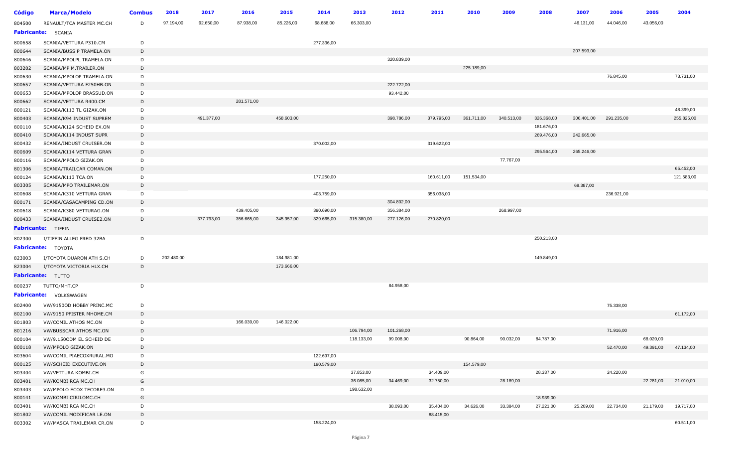| <b>Código</b>    | <b>Marca/Modelo</b>                            | <b>Combus</b> | 2018       | 2017       | 2016       | 2015       | 2014       | 2013       | 2012       | 2011       | 2010       | 2009       | 2008                   | 2007       | 2006       | 2005      | 2004       |
|------------------|------------------------------------------------|---------------|------------|------------|------------|------------|------------|------------|------------|------------|------------|------------|------------------------|------------|------------|-----------|------------|
| 804500           | RENAULT/TCA MASTER MC.CH                       | D             | 97.194,00  | 92.650,00  | 87.938,00  | 85.226,00  | 68.688,00  | 66.303,00  |            |            |            |            |                        | 46.131,00  | 44.046,00  | 43.056,00 |            |
|                  | Fabricante: SCANIA                             |               |            |            |            |            |            |            |            |            |            |            |                        |            |            |           |            |
| 800658           | SCANIA/VETTURA P310.CM                         | D             |            |            |            |            | 277.336,00 |            |            |            |            |            |                        |            |            |           |            |
| 800644           | SCANIA/BUSS P TRAMELA.ON                       | D             |            |            |            |            |            |            |            |            |            |            |                        | 207.593,00 |            |           |            |
| 800646           | SCANIA/MPOLPL TRAMELA.ON                       | D             |            |            |            |            |            |            | 320.839,00 |            |            |            |                        |            |            |           |            |
| 803202           | SCANIA/MP M.TRAILER.ON                         | D             |            |            |            |            |            |            |            |            | 225.189,00 |            |                        |            |            |           |            |
| 800630           | SCANIA/MPOLOP TRAMELA.ON                       | D             |            |            |            |            |            |            |            |            |            |            |                        |            | 76.845,00  |           | 73.731,00  |
| 800657           | SCANIA/VETTURA F250HB.ON                       | D             |            |            |            |            |            |            | 222.722,00 |            |            |            |                        |            |            |           |            |
| 800653           | SCANIA/MPOLOP BRASSUD.ON                       | D             |            |            |            |            |            |            | 93.442,00  |            |            |            |                        |            |            |           |            |
| 800662           | SCANIA/VETTURA R400.CM                         | D             |            |            | 281.571,00 |            |            |            |            |            |            |            |                        |            |            |           |            |
| 800121           | SCANIA/K113 TL GIZAK.ON                        | D             |            |            |            |            |            |            |            |            |            |            |                        |            |            |           | 48.399,00  |
| 800403           | SCANIA/K94 INDUST SUPREM                       | D             |            | 491.377,00 |            | 458.603,00 |            |            | 398.786,00 | 379.795,00 | 361.711,00 | 340.513,00 | 326.368,00             | 306.401,00 | 291.235,00 |           | 255.825,00 |
| 800110           | SCANIA/K124 SCHEID EX.ON                       | D             |            |            |            |            |            |            |            |            |            |            | 181.676,00             |            |            |           |            |
| 800410           | SCANIA/K114 INDUST SUPR                        | D             |            |            |            |            |            |            |            |            |            |            | 269.476,00             | 242.665,00 |            |           |            |
| 800432           | SCANIA/INDUST CRUISER.ON                       | D             |            |            |            |            | 370.002,00 |            |            | 319.622,00 |            |            |                        |            |            |           |            |
| 800609           | SCANIA/K114 VETTURA GRAN                       | D             |            |            |            |            |            |            |            |            |            |            | 295.564,00             | 265.246,00 |            |           |            |
| 800116           | SCANIA/MPOLO GIZAK.ON                          | D             |            |            |            |            |            |            |            |            |            | 77.767,00  |                        |            |            |           |            |
| 801306           | SCANIA/TRAILCAR COMAN.ON                       | D             |            |            |            |            |            |            |            |            |            |            |                        |            |            |           | 65.452,00  |
| 800124           | SCANIA/K113 TCA.ON                             | D             |            |            |            |            | 177.250,00 |            |            | 160.611,00 | 151.534,00 |            |                        |            |            |           | 121.583,00 |
| 803305           | SCANIA/MPO TRAILEMAR.ON                        | D             |            |            |            |            |            |            |            |            |            |            |                        | 68.387,00  |            |           |            |
| 800608           | SCANIA/K310 VETTURA GRAN                       | D             |            |            |            |            | 403.759,00 |            |            | 356.038,00 |            |            |                        |            | 236.921,00 |           |            |
| 800171           | SCANIA/CASACAMPING CD.ON                       | D             |            |            |            |            |            |            | 304.802,00 |            |            |            |                        |            |            |           |            |
| 800618           | SCANIA/K380 VETTURAG.ON                        | D             |            |            | 439.405,00 |            | 390.690,00 |            | 356.384,00 |            |            | 268.997,00 |                        |            |            |           |            |
| 800433           | SCANIA/INDUST CRUISE2.ON                       | D             |            | 377.793,00 | 356.665,00 | 345.957,00 | 329.665,00 | 315.380,00 | 277.126,00 | 270.820,00 |            |            |                        |            |            |           |            |
|                  | <b>Fabricante: TIFFIN</b>                      |               |            |            |            |            |            |            |            |            |            |            |                        |            |            |           |            |
| 802300           | I/TIFFIN ALLEG FRED 32BA                       | D             |            |            |            |            |            |            |            |            |            |            | 250.213,00             |            |            |           |            |
|                  | <b>Fabricante:</b> TOYOTA                      |               |            |            |            |            |            |            |            |            |            |            |                        |            |            |           |            |
| 823003           | I/TOYOTA DUARON ATH S.CH                       | D             | 202.480,00 |            |            | 184.981,00 |            |            |            |            |            |            | 149.849,00             |            |            |           |            |
| 823004           | I/TOYOTA VICTORIA HLX.CH                       | D             |            |            |            | 173.666,00 |            |            |            |            |            |            |                        |            |            |           |            |
|                  | <b>Fabricante:</b> TUTTO                       |               |            |            |            |            |            |            |            |            |            |            |                        |            |            |           |            |
| 800237           |                                                | D             |            |            |            |            |            |            | 84.958,00  |            |            |            |                        |            |            |           |            |
|                  | TUTTO/MHT.CP                                   |               |            |            |            |            |            |            |            |            |            |            |                        |            |            |           |            |
|                  | <b>Fabricante: VOLKSWAGEN</b>                  |               |            |            |            |            |            |            |            |            |            |            |                        |            |            |           |            |
| 802400           | VW/9150OD HOBBY PRINC.MC                       | D             |            |            |            |            |            |            |            |            |            |            |                        |            | 75.338,00  |           |            |
| 802100           | VW/9150 PFISTER MHOME.CM                       | D             |            |            |            |            |            |            |            |            |            |            |                        |            |            |           | 61.172,00  |
| 801803           | VW/COMIL ATHOS MC.ON                           | D             |            |            | 166.039,00 | 146.022,00 |            |            |            |            |            |            |                        |            |            |           |            |
| 801216           | VW/BUSSCAR ATHOS MC.ON                         | D             |            |            |            |            |            | 106.794,00 | 101.268,00 |            |            |            |                        |            | 71.916,00  |           |            |
| 800104           | VW/9.1500DM EL SCHEID DE                       | D             |            |            |            |            |            | 118.133,00 | 99.008,00  |            | 90.864,00  | 90.032,00  | 84.787,00              |            |            | 68.020,00 |            |
| 800118           | VW/MPOLO GIZAK.ON                              | D             |            |            |            |            |            |            |            |            |            |            |                        |            | 52.470,00  | 49.391,00 | 47.134,00  |
| 803604           | VW/COMIL PIAECOXRURAL.MO                       | D             |            |            |            |            | 122.697,00 |            |            |            |            |            |                        |            |            |           |            |
| 800125           | VW/SCHEID EXECUTIVE.ON                         | D             |            |            |            |            | 190.579,00 |            |            |            | 154.579,00 |            |                        |            |            |           |            |
| 803404           | VW/VETTURA KOMBI.CH                            | G             |            |            |            |            |            | 37.853,00  |            | 34.409,00  |            |            | 28.337,00              |            | 24.220,00  |           |            |
| 803401           | VW/KOMBI RCA MC.CH                             | G             |            |            |            |            |            | 36.085,00  | 34.469,00  | 32.750,00  |            | 28.189,00  |                        |            |            | 22.281,00 | 21.010,00  |
| 803403           | VW/MPOLO ECOX TECORE3.ON                       | D             |            |            |            |            |            | 198.632,00 |            |            |            |            |                        |            |            |           |            |
| 800141<br>803401 | VW/KOMBI CIRILOMC.CH                           | G<br>D        |            |            |            |            |            |            | 38.093,00  | 35.404,00  | 34.626,00  | 33.384,00  | 18.939,00<br>27.221,00 | 25.209,00  | 22.734,00  | 21.179,00 | 19.717,00  |
|                  | VW/KOMBI RCA MC.CH<br>VW/COMIL MODIFICAR LE.ON | D             |            |            |            |            |            |            |            | 88.415,00  |            |            |                        |            |            |           |            |
| 801802<br>803302 | VW/MASCA TRAILEMAR CR.ON                       | D             |            |            |            |            | 158.224,00 |            |            |            |            |            |                        |            |            |           | 60.511,00  |
|                  |                                                |               |            |            |            |            |            |            |            |            |            |            |                        |            |            |           |            |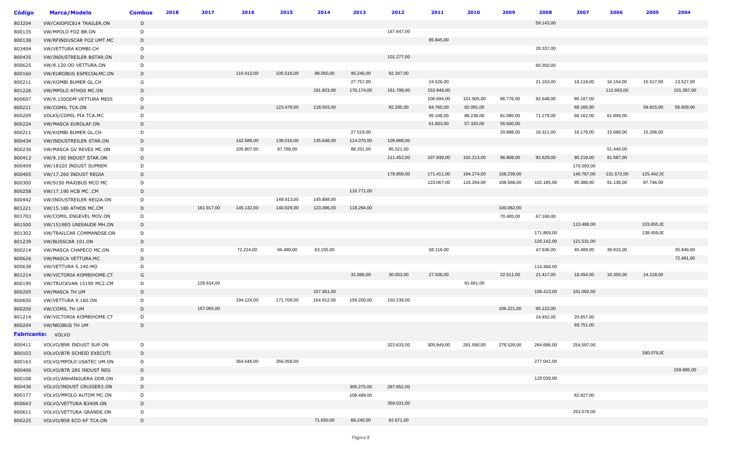| <b>Código</b> | <b>Marca/Modelo</b>          | <b>Combus</b> | 2018 | 2017       | 2016       | 2015       | 2014       | 2013       | 2012       | 2011       | 2010       | 2009       | 2008       | 2007       | 2006       | 2005       | 2004       |
|---------------|------------------------------|---------------|------|------------|------------|------------|------------|------------|------------|------------|------------|------------|------------|------------|------------|------------|------------|
| 803204        | VW/CAIOPIC814 TRAILER.ON     | D             |      |            |            |            |            |            |            |            |            |            | 59.143,00  |            |            |            |            |
| 800135        | VW/MPOLO FOZ BR.ON           | D             |      |            |            |            |            |            | 167.647,00 |            |            |            |            |            |            |            |            |
| 800138        | VW/RFINDUSCAR FOZ UMT.MC     | D             |      |            |            |            |            |            |            | 85.945,00  |            |            |            |            |            |            |            |
| 803404        | VW/VETTURA KOMBI.CH          | D             |      |            |            |            |            |            |            |            |            |            | 28.337,00  |            |            |            |            |
| 800435        | VW/INDUSTREILER BSTAR.ON     | D             |      |            |            |            |            |            | 101.277,00 |            |            |            |            |            |            |            |            |
| 800625        | VW/8.120 OD VETTURA.ON       | D             |      |            |            |            |            |            |            |            |            |            | 60.350,00  |            |            |            |            |
| 800160        | VW/EUROBUS ESPECIALMC.ON     | D             |      |            | 110.413,00 | 105.516,00 | 98.050,00  | 95.246,00  | 92.347,00  |            |            |            |            |            |            |            |            |
| 800211        | VW/KOMBI BUMER GL.CH         | G             |      |            |            |            |            | 27.757,00  |            | 24.526,00  |            |            | 21.163,00  | 18.118,00  | 16.154,00  | 15.517,00  | 13.527,00  |
| 801226        | VW/MPOLO ATHOS MC.ON         | D             |      |            |            |            | 191.823,00 | 176.174,00 | 161.799,00 | 153.948,00 |            |            |            |            | 112.663,00 |            | 101.397,00 |
| 800607        | VW/9.1500DM VETTURA MEDI     | D             |      |            |            |            |            |            |            | 106.694,00 | 101.905,00 | 96.776,00  | 92.648,00  | 86.187,00  |            |            |            |
| 800221        | VW/COMIL TCA.ON              | D             |      |            |            | 123.478,00 | 118.503,00 |            | 92.295,00  | 84.765,00  | 82.091,00  |            |            | 68.165,00  |            | 59.815,00  | 56.609,00  |
| 800209        | VOLKS/COMIL PIA TCA.MC       | D             |      |            |            |            |            |            |            | 95.108,00  | 88.238,00  | 81.086,00  | 71.279,00  | 66.162,00  | 61.899,00  |            |            |
| 800224        | VW/MASCA EUROLAF.ON          | D             |      |            |            |            |            |            |            | 61.803,00  | 57.320,00  | 55.500,00  |            |            |            |            |            |
| 800211        | VW/KOMBI BUMER GL.CH         | D             |      |            |            |            |            | 27.519,00  |            |            |            | 20.888,00  | 18.311,00  | 16.178,00  | 15.686,00  | 15.206,00  |            |
| 800434        | VW/INDUSTREILER STAR.ON      | D             |      |            | 142.586,00 | 138.016,00 | 135.648,00 | 114.070,00 | 109.868,00 |            |            |            |            |            |            |            |            |
| 800236        | VW/MASCA GV REVES MC.ON      | D             |      |            | 105.807,00 | 97.786,00  |            | 88.251,00  | 85.521,00  |            |            |            |            |            | 51.440,00  |            |            |
| 800412        | VW/9.150 INDUST STAR.ON      | D             |      |            |            |            |            |            | 111.452,00 | 107.938,00 | 102.213,00 | 96.808,00  | 92.629,00  | 90.218,00  | 81.587,00  |            |            |
| 800409        | VW/18320 INDUST SUPREM       | D             |      |            |            |            |            |            |            |            |            |            |            | 170.093,00 |            |            |            |
| 800405        | VW/17.260 INDUST REGIA       | D             |      |            |            |            |            |            | 178.859,00 | 171.411,00 | 164.274,00 | 158.239,00 |            | 140.787,00 | 131.572,00 | 125.442,00 |            |
| 800300        | VW/9150 MAXIBUS MCO MC       | D             |      |            |            |            |            |            |            | 123.067,00 | 116.264,00 | 108.568,00 | 102.185,00 | 95.388,00  | 91.136,00  | 87.746,00  |            |
| 800258        | VW/17.190 HCB MC .CM         | D             |      |            |            |            |            | 116.771,00 |            |            |            |            |            |            |            |            |            |
| 800442        | VW/INDUSTREILER REGIA.ON     | D             |      |            |            | 149.913,00 | 145.888,00 |            |            |            |            |            |            |            |            |            |            |
| 801221        | <b>VW/15.180 ATHOS MC.CM</b> | D             |      | 161.917,00 | 145.132,00 | 140.029,00 | 123.396,00 | 118.294,00 |            |            |            | 100.062,00 |            |            |            |            |            |
| 801703        | VW/COMIL ENGEVEL MOV.ON      | D             |      |            |            |            |            |            |            |            |            | 70.465,00  | 67.169,00  |            |            |            |            |
| 801500        | VW/1519EO UNISAUDE MH.ON     | D             |      |            |            |            |            |            |            |            |            |            |            | 113.488,00 |            | 103.655,00 |            |
| 801302        | VW/TRAILCAR COMMANDSE.ON     | D             |      |            |            |            |            |            |            |            |            |            | 171.869,00 |            |            | 138.459,00 |            |
| 801239        | VW/BUSSCAR 101.ON            | D             |      |            |            |            |            |            |            |            |            |            | 125.142,00 | 121.531,00 |            |            |            |
| 800214        | VW/MASCA CHAPECO MC.ON       | D             |      |            | 72.224,00  | 66.480,00  | 63.155,00  |            |            | 58.116,00  |            |            | 47.636,00  | 45.489,00  | 39.915,00  |            | 35.849,00  |
| 800626        | VW/MASCA VETTURA.MC          | D             |      |            |            |            |            |            |            |            |            |            |            |            |            |            | 72.491,00  |
| 800638        | VW/VETTURA 5.140.MO          | D             |      |            |            |            |            |            |            |            |            |            | 114.468,00 |            |            |            |            |
| 801214        | VW/VICTORIA KOMBIHOME.CT     | G             |      |            |            |            |            | 31.666,00  | 30.053,00  | 27.506,00  |            | 22.511,00  | 21.417,00  | 18.454,00  | 16.355,00  | 14.218,00  |            |
| 800190        | VW/TRUCKVAN 15190 MC2.CM     | D             |      | 128.634,00 |            |            |            |            |            |            | 91.661,00  |            |            |            |            |            |            |
| 800205        | VW/MASCA TH UM               | D             |      |            |            |            | 157.451,00 |            |            |            |            |            | 106.413,00 | 101.092,00 |            |            |            |
| 800650        | VW/VETTURA 9.160.ON          | D             |      |            | 194.124,00 | 171.708,00 | 164.912,00 | 159.200,00 | 150.239,00 |            |            |            |            |            |            |            |            |
| 800200        | VW/COMIL TH UM               | D             |      | 157.065,00 |            |            |            |            |            |            |            | 106.221,00 | 95.122,00  |            |            |            |            |
| 801214        | VW/VICTORIA KOMBIHOME.CT     | D             |      |            |            |            |            |            |            |            |            |            | 24.452,00  | 20.657,00  |            |            |            |
| 800204        | VW/NEOBUS TH UM              | D             |      |            |            |            |            |            |            |            |            |            |            | 69.751,00  |            |            |            |
|               | Fabricante: VOLVO            |               |      |            |            |            |            |            |            |            |            |            |            |            |            |            |            |
| 800411        | VOLVO/B9R INDUST SUP.ON      | D             |      |            |            |            |            |            | 323.633,00 | 305.849,00 | 281.590,00 | 278.526,00 | 264.686,00 | 254.597,00 |            |            |            |
| 800103        | VOLVO/B7R SCHEID EXECUTI     | D             |      |            |            |            |            |            |            |            |            |            |            |            |            | 180.079,00 |            |
| 800163        | VOLVO/MPOLO USATEC UM.ON     | D             |      |            | 364.646,00 | 356.058,00 |            |            |            |            |            |            | 277.042,00 |            |            |            |            |
| 800400        | VOLVO/B7R 285 INDUST REG     | D             |      |            |            |            |            |            |            |            |            |            |            |            |            |            | 159.685,00 |
| 800108        | VOLVO/ANHANGUERA DDR.ON      | D             |      |            |            |            |            |            |            |            |            |            | 125.039,00 |            |            |            |            |
| 800436        | VOLVO/INDUST CRUISER3.ON     | D             |      |            |            |            |            | 305.275,00 | 287.652,00 |            |            |            |            |            |            |            |            |
| 800177        | VOLVO/MPOLO AUTOM MC.ON      | D             |      |            |            |            |            | 108.489,00 |            |            |            |            |            | 82.827,00  |            |            |            |
| 800643        | VOLVO/VETTURA B340R.ON       | D             |      |            |            |            |            |            | 359.031,00 |            |            |            |            |            |            |            |            |
| 800611        | VOLVO/VETTURA GRANDE.ON      | D             |      |            |            |            |            |            |            |            |            |            |            | 253.578,00 |            |            |            |
| 800225        | VOLVO/B58 ECO KF TCA.ON      | D             |      |            |            |            | 71.650,00  | 68.240,00  | 62.671,00  |            |            |            |            |            |            |            |            |